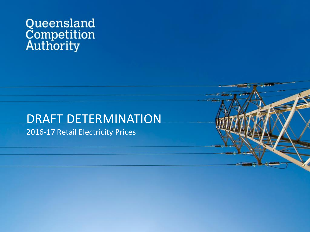# Queensland<br>Competition<br>Authority

# DRAFT DETERMINATION

2016-17 Retail Electricity Prices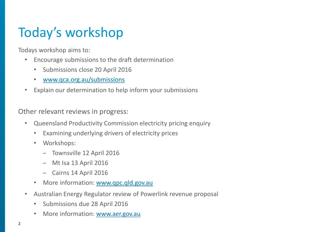# Today's workshop

Todays workshop aims to:

- Encourage submissions to the draft determination
	- Submissions close 20 April 2016
	- [www.qca.org.au/submissions](http://www.qca.org.au/submissions)
- Explain our determination to help inform your submissions

Other relevant reviews in progress:

- Queensland Productivity Commission electricity pricing enquiry
	- Examining underlying drivers of electricity prices
	- Workshops:
		- Townsville 12 April 2016
		- Mt Isa 13 April 2016
		- Cairns 14 April 2016
	- More information: [www.qpc.qld.gov.au](http://www.qpc.qld.gov.au/)
- Australian Energy Regulator review of Powerlink revenue proposal
	- Submissions due 28 April 2016
	- More information: [www.aer.gov.au](http://www.aer.gov.au/)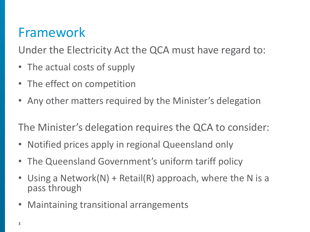## Framework

Under the Electricity Act the QCA must have regard to:

- The actual costs of supply
- The effect on competition
- Any other matters required by the Minister's delegation

The Minister's delegation requires the QCA to consider:

- Notified prices apply in regional Queensland only
- The Queensland Government's uniform tariff policy
- Using a Network(N) + Retail(R) approach, where the N is a pass through
- Maintaining transitional arrangements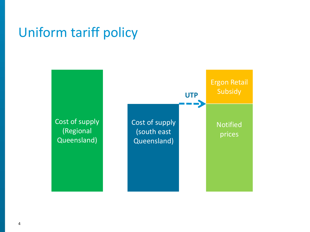#### Uniform tariff policy

Cost of supply (Regional Queensland) (south east Queensland) Ergon Retail Subsidy Cost of supply **UTP** Notified prices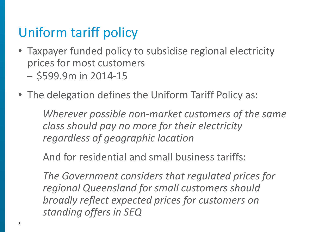# Uniform tariff policy

- Taxpayer funded policy to subsidise regional electricity prices for most customers
	- \$599.9m in 2014-15
- The delegation defines the Uniform Tariff Policy as:

*Wherever possible non-market customers of the same class should pay no more for their electricity regardless of geographic location*

And for residential and small business tariffs:

*The Government considers that regulated prices for regional Queensland for small customers should broadly reflect expected prices for customers on standing offers in SEQ*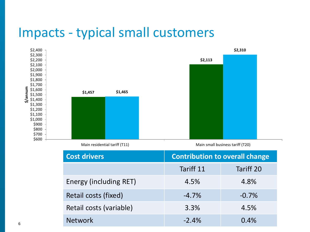#### Impacts - typical small customers



Main residential tariff (T11) Main small business tariff (T20)

| <b>Cost drivers</b>     | <b>Contribution to overall change</b> |           |
|-------------------------|---------------------------------------|-----------|
|                         | Tariff 11                             | Tariff 20 |
| Energy (including RET)  | 4.5%                                  | 4.8%      |
| Retail costs (fixed)    | $-4.7%$                               | $-0.7%$   |
| Retail costs (variable) | 3.3%<br>4.5%                          |           |
| <b>Network</b>          | $-2.4%$                               | 0.4%      |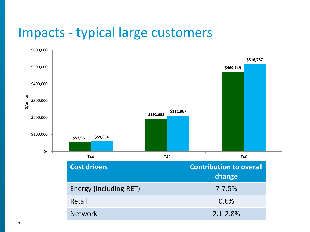#### Impacts - typical large customers

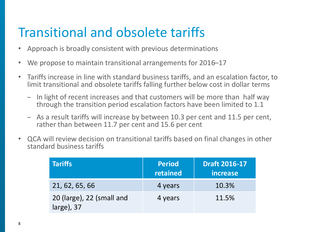## Transitional and obsolete tariffs

- Approach is broadly consistent with previous determinations
- We propose to maintain transitional arrangements for 2016–17
- Tariffs increase in line with standard business tariffs, and an escalation factor, to limit transitional and obsolete tariffs falling further below cost in dollar terms
	- In light of recent increases and that customers will be more than half way through the transition period escalation factors have been limited to 1.1
	- As a result tariffs will increase by between 10.3 per cent and 11.5 per cent, rather than between 11.7 per cent and 15.6 per cent
- QCA will review decision on transitional tariffs based on final changes in other standard business tariffs

| <b>Tariffs</b>                             | <b>Period</b><br>retained | <b>Draft 2016-17</b><br>increase |
|--------------------------------------------|---------------------------|----------------------------------|
| 21, 62, 65, 66                             | 4 years                   | 10.3%                            |
| 20 (large), 22 (small and<br>$large)$ , 37 | 4 years                   | 11.5%                            |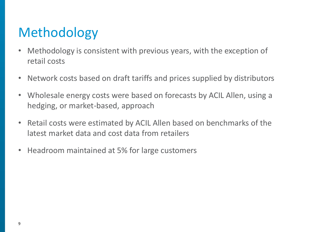# Methodology

- Methodology is consistent with previous years, with the exception of retail costs
- Network costs based on draft tariffs and prices supplied by distributors
- Wholesale energy costs were based on forecasts by ACIL Allen, using a hedging, or market-based, approach
- Retail costs were estimated by ACIL Allen based on benchmarks of the latest market data and cost data from retailers
- Headroom maintained at 5% for large customers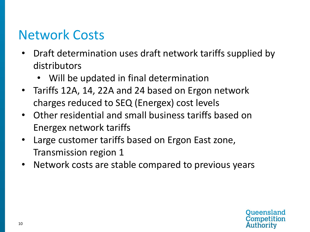## Network Costs

- Draft determination uses draft network tariffs supplied by distributors
	- Will be updated in final determination
- Tariffs 12A, 14, 22A and 24 based on Ergon network charges reduced to SEQ (Energex) cost levels
- Other residential and small business tariffs based on Energex network tariffs
- Large customer tariffs based on Ergon East zone, Transmission region 1
- Network costs are stable compared to previous years

**Queensland** Competition Authority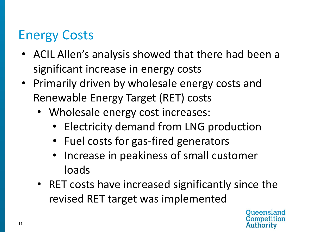# Energy Costs

- ACIL Allen's analysis showed that there had been a significant increase in energy costs
- Primarily driven by wholesale energy costs and Renewable Energy Target (RET) costs
	- Wholesale energy cost increases:
		- Electricity demand from LNG production
		- Fuel costs for gas-fired generators
		- Increase in peakiness of small customer loads
	- RET costs have increased significantly since the revised RET target was implemented

Oueensland wthority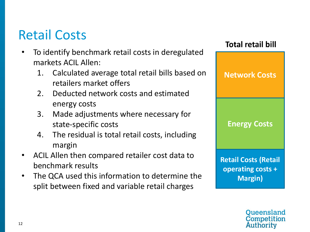## Retail Costs

- To identify benchmark retail costs in deregulated markets ACIL Allen:
	- 1. Calculated average total retail bills based on retailers market offers
	- 2. Deducted network costs and estimated energy costs
	- 3. Made adjustments where necessary for state-specific costs
	- 4. The residual is total retail costs, including margin
- ACIL Allen then compared retailer cost data to benchmark results
- The QCA used this information to determine the split between fixed and variable retail charges



Oueensland Competition Authority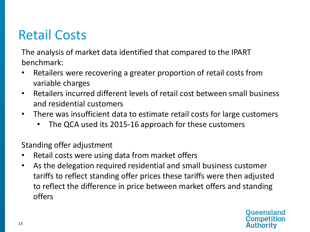# Retail Costs

The analysis of market data identified that compared to the IPART benchmark:

- Retailers were recovering a greater proportion of retail costs from variable charges
- Retailers incurred different levels of retail cost between small business and residential customers
- There was insufficient data to estimate retail costs for large customers
	- The QCA used its 2015-16 approach for these customers

Standing offer adjustment

- Retail costs were using data from market offers
- As the delegation required residential and small business customer tariffs to reflect standing offer prices these tariffs were then adjusted to reflect the difference in price between market offers and standing offers

Queensland Competition Authority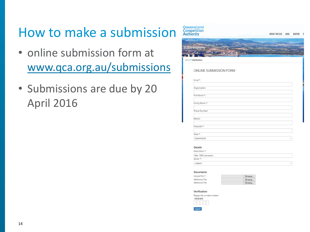## How to make a submission

- online submission form at [www.qca.org.au/submissions](http://www.qca.org.au/submissions)
- Submissions are due by 20 April 2016

| Queensland<br>Competition<br>Authority | WHAT WE DO RAIL | WATER | E |
|----------------------------------------|-----------------|-------|---|
|                                        |                 |       |   |
|                                        |                 |       |   |
| <b>Submissions</b>                     |                 |       |   |
|                                        |                 |       |   |
| Home > Submissions                     |                 |       |   |
|                                        |                 |       |   |
| ONLINE SUBMISSION FORM                 |                 |       |   |
|                                        |                 |       |   |
| Email *:                               |                 |       |   |
| Organisation:                          |                 |       |   |
| First Name *:                          |                 |       |   |
|                                        |                 |       |   |
| Family Name *:                         |                 |       |   |
| Phone Number:                          |                 |       |   |
|                                        |                 |       |   |
| Mobile:                                |                 |       |   |
| Postcode *:                            |                 |       |   |
|                                        |                 |       |   |
| State *:                               |                 |       |   |
| Queensland                             |                 |       |   |

#### Details

| Description *:      |        |
|---------------------|--------|
| Max 1000 characters |        |
| Sector*:            |        |
| <select></select>   | $\sim$ |

#### Documents

Upload File \*: Additional File: Additional File:

| Browse |
|--------|
| Browse |
| Browse |
|        |

#### Verification

Retype the numbers below:  $3 - 2 - 2 - 2 - 0$ **Submit**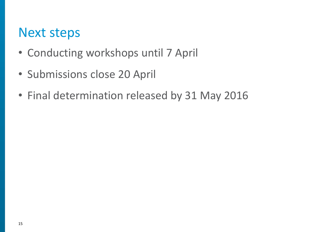#### Next steps

- Conducting workshops until 7 April
- Submissions close 20 April
- Final determination released by 31 May 2016